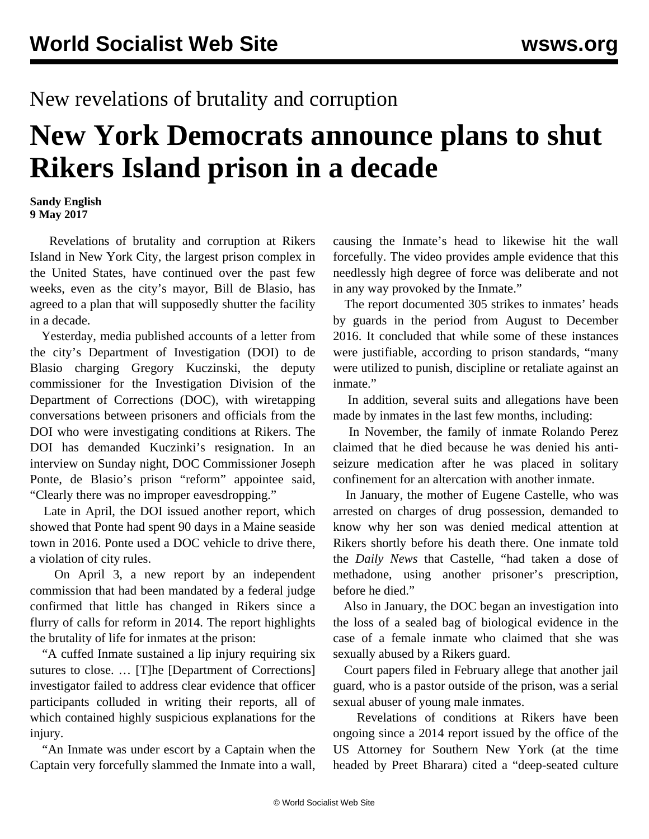## New revelations of brutality and corruption

## **New York Democrats announce plans to shut Rikers Island prison in a decade**

## **Sandy English 9 May 2017**

 Revelations of brutality and corruption at Rikers Island in New York City, the largest prison complex in the United States, have continued over the past few weeks, even as the city's mayor, Bill de Blasio, has agreed to a plan that will supposedly shutter the facility in a decade.

 Yesterday, media published accounts of a letter from the city's Department of Investigation (DOI) to de Blasio charging Gregory Kuczinski, the deputy commissioner for the Investigation Division of the Department of Corrections (DOC), with wiretapping conversations between prisoners and officials from the DOI who were investigating conditions at Rikers. The DOI has demanded Kuczinki's resignation. In an interview on Sunday night, DOC Commissioner Joseph Ponte, de Blasio's prison "reform" appointee said, "Clearly there was no improper eavesdropping."

 Late in April, the DOI issued another report, which showed that Ponte had spent 90 days in a Maine seaside town in 2016. Ponte used a DOC vehicle to drive there, a violation of city rules.

 On April 3, a new report by an independent commission that had been mandated by a federal judge confirmed that little has changed in Rikers since a flurry of calls for reform in 2014. The report highlights the brutality of life for inmates at the prison:

 "A cuffed Inmate sustained a lip injury requiring six sutures to close. … [T]he [Department of Corrections] investigator failed to address clear evidence that officer participants colluded in writing their reports, all of which contained highly suspicious explanations for the injury.

 "An Inmate was under escort by a Captain when the Captain very forcefully slammed the Inmate into a wall,

causing the Inmate's head to likewise hit the wall forcefully. The video provides ample evidence that this needlessly high degree of force was deliberate and not in any way provoked by the Inmate."

 The report documented 305 strikes to inmates' heads by guards in the period from August to December 2016. It concluded that while some of these instances were justifiable, according to prison standards, "many were utilized to punish, discipline or retaliate against an inmate."

 In addition, several suits and allegations have been made by inmates in the last few months, including:

 In November, the family of inmate Rolando Perez claimed that he died because he was denied his antiseizure medication after he was placed in solitary confinement for an altercation with another inmate.

 In January, the mother of Eugene Castelle, who was arrested on charges of drug possession, demanded to know why her son was denied medical attention at Rikers shortly before his death there. One inmate told the *Daily News* that Castelle, "had taken a dose of methadone, using another prisoner's prescription, before he died."

 Also in January, the DOC began an investigation into the loss of a sealed bag of biological evidence in the case of a female inmate who claimed that she was sexually abused by a Rikers guard.

 Court papers filed in February allege that another jail guard, who is a pastor outside of the prison, was a serial sexual abuser of young male inmates.

 Revelations of conditions at Rikers have been ongoing since a [2014 report](/en/articles/2014/08/06/rike-a06.html) issued by the office of the US Attorney for Southern New York (at the time headed by Preet Bharara) cited a "deep-seated culture